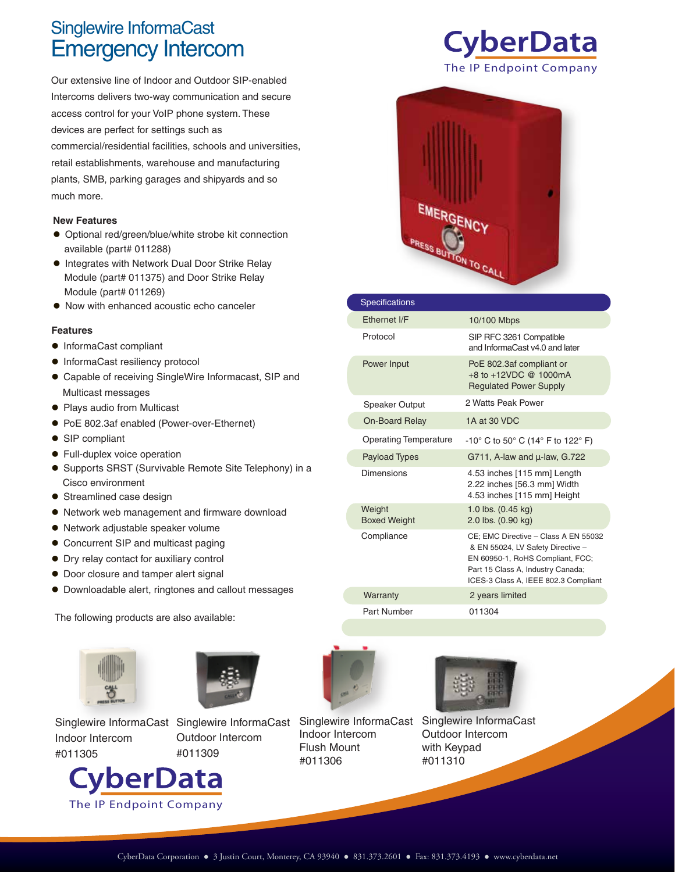## Emergency Intercom Singlewire InformaCast

Our extensive line of Indoor and Outdoor SIP-enabled Intercoms delivers two-way communication and secure access control for your VoIP phone system. These devices are perfect for settings such as commercial/residential facilities, schools and universities, retail establishments, warehouse and manufacturing plants, SMB, parking garages and shipyards and so much more.

## **New Features**

- Optional red/green/blue/white strobe kit connection available (part# 011288)
- **Integrates with Network Dual Door Strike Relay** Module (part# 011375) and Door Strike Relay Module (part# 011269)
- Now with enhanced acoustic echo canceler

## **Features**

- $\bullet$  InformaCast compliant
- $\bullet$  InformaCast resiliency protocol
- Capable of receiving SingleWire Informacast, SIP and Multicast messages
- Plays audio from Multicast
- PoE 802.3af enabled (Power-over-Ethernet)
- SIP compliant
- **•** Full-duplex voice operation
- Supports SRST (Survivable Remote Site Telephony) in a Cisco environment
- Streamlined case design
- Network web management and firmware download
- Network adjustable speaker volume
- Concurrent SIP and multicast paging
- Dry relay contact for auxiliary control
- $\bullet$  Door closure and tamper alert signal
- Downloadable alert, ringtones and callout messages

The following products are also available:





Sin Indoor Intercom #011305









| <b>Specifications</b>         |                                                                                                                                                                                            |
|-------------------------------|--------------------------------------------------------------------------------------------------------------------------------------------------------------------------------------------|
| Ethernet I/F                  | 10/100 Mbps                                                                                                                                                                                |
| Protocol                      | SIP RFC 3261 Compatible<br>and InformaCast v4.0 and later                                                                                                                                  |
| Power Input                   | PoE 802.3af compliant or<br>+8 to +12VDC @ 1000mA<br><b>Regulated Power Supply</b>                                                                                                         |
| <b>Speaker Output</b>         | 2 Watts Peak Power                                                                                                                                                                         |
| On-Board Relay                | 1A at 30 VDC                                                                                                                                                                               |
| <b>Operating Temperature</b>  | -10° C to 50° C (14° F to 122° F)                                                                                                                                                          |
| <b>Payload Types</b>          | G711, A-law and $\mu$ -law, G.722                                                                                                                                                          |
| <b>Dimensions</b>             | 4.53 inches [115 mm] Length<br>2.22 inches [56.3 mm] Width<br>4.53 inches [115 mm] Height                                                                                                  |
| Weight<br><b>Boxed Weight</b> | 1.0 lbs. (0.45 kg)<br>2.0 lbs. (0.90 kg)                                                                                                                                                   |
| Compliance                    | CE; EMC Directive - Class A EN 55032<br>& EN 55024, LV Safety Directive -<br>EN 60950-1, RoHS Compliant, FCC;<br>Part 15 Class A, Industry Canada;<br>ICES-3 Class A, IEEE 802.3 Compliant |
| Warranty                      | 2 years limited                                                                                                                                                                            |
| Part Number                   | 011304                                                                                                                                                                                     |



Singlewire InformaCast Ind Flush Mount #011306



Outdoor Intercom with Keypad #011310